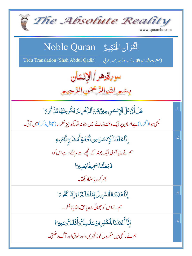The Absolute Reality www.quran4u.com الْقُرْآنِ الْحَكِيمُ Noble Quran Urdu Translation (Shah Abdul Qadir) (حضرت شاه عبد القادر) اردوتر جمه بمعه عربي سوبةدهر / الانسان بسمو اللوالرَّحْمَنِ الرَّحِيمِ ۿٙڶٲؘڎؘۣٵٙڶ۩ٱڷٳۮۺڹڿؾڽ۠؋ؚڹۘٱڶڷۿؘڔڶؽ۬ؾؘػٛڽۺؘؠٙٞٵؗڡۨٞۮ۬ػٛۄٵ  $\cdot$ 1 مجھی ہوا(گزرا)ہےانسان پر ایک وقت زمانے میں،جونہ تھا کچھ چیز تکر ار( قابل ذکر)میں آتی۔ إِنَّا خَلَقُنَا ٱلْإِنسَنَ مِن نُّطِفَةٍ أَمَشَاجِ نَّبُتَلِيهِ  $\overline{.2}$ ہم نے بنایا آدمی ایک بوند کے کچھے سے، پلٹتے رہے اس کو، فَجَعَلْنَهُ سَمِيعًا بَصِبِرَ ا .<br>پھر کر د پاستیاد کھیا۔ إِنَّاهَدَيْنَهُ ٱلسَّبِيلَ إِمَّاشَاكِرًا وَإِمَّا كَفُوعَا  $\overline{.}3$ ہم نے اس کو بچھائی راہ، پاحق مانتا پاناشکر۔ إِنَّآ أَعۡقَدۡنَا لِلۡكَفِرِينَ سَلَسِلَاۡ وَأَغۡلَلاَّ وَسَعِيرًا  $\overline{A}$ ہم نے رکھی ہیں منکر وں کو زنجیریں،اور طوق اور آگ دھکتی۔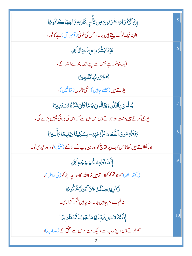| إِنَّ ٱلْأَبَٰدَاءَ يَشۡدَبُونَ مِن كَأَسٍ كَانَ مِزَاجُهَا كَافُوعَا              | .5             |
|------------------------------------------------------------------------------------|----------------|
| البتہ نیک لوگ پیتے ہیں پیالہ، جس کی ملونی ( آمیز ش ) ہے کافور ،                    |                |
| عَيۡنَا <b>ۤ يَشۡرَ</b> بُ بِہَاعِبَادُٱللَّٰهِ                                    | .6             |
| ایک چشمہ ہے جس سے پیتے ہیں بندےاللہ کے،                                            |                |
| يُفَجِّرُونَهَاتَفَجِيرًا                                                          |                |
| <i>چلاتے ہیں (جیسے چاہیں) اسکی نالباں (شاخیں)،</i>                                 |                |
| ێٛۏۏۢۏڹؚۘؠٲڵڹؖٞڽؙۧڔۄؘۜۜڲؘٲۏ۠ۏڹؘؾۯؚٙڡٙٵػٲڹؘۺٞڗ۠ۿ۠ۿۺؾؘڟؚۣؖڹٵ                         | .7             |
| پوری کرتے ہیں مٹت اور ڈرتے ہیں اس دن سے کہ اس کی برائی پھیل پڑے گی،                |                |
| وَيُطْعِمُونَ ٱلطَّعَامَ عَلَىٰ حُبِّهِۦ مِسۡكِينَاوَيَتِيمَاوَأَسِبِرَا           | $\overline{8}$ |
| اور کھلاتے ہیں کھانااس محبت پر مختاج کواور بن باپ کے لڑکے (ینیم) کو،اور قید کی کو۔ |                |
| إِنَّمَانُظُعِمُكُمۡ لِوَجۡهِ ٱللَّهِ                                              | 9              |
| ( كہتے تھے )ہم جو تم كوكھلاتے ہيں نر اﷲ كامنہ چاہنے كو( كى خاطر )،                 |                |
| <b>لَاثْرِيلُمِنكُمرُ جَزَآءًوَلَاشُكُوعَ</b> ا                                    |                |
| نہ تم سے ہم چاہیں بدلہ،نہ چاہیں شکر گزاری۔                                         |                |
| ٳؚڹؓٲڬؘٵڡؙ؈ؚ؆ؚڹؚڹؘٳؾۏٙڡٙٵۼڹ۠ۅڛٙٳؗڡٓڞڟڔؠڗٙٳ                                         | .10            |
| ہم ڈرتے ہیں اپنے رب سے،ایک دن اداس سے سختی کے (عذاب)،                              |                |
|                                                                                    |                |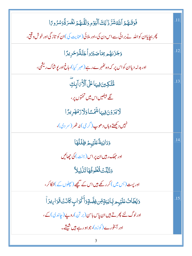| فَوَقَىٰهُمُ ٱللَّهُشَّرَّ ذَٰٓ لِكَ ٱلۡيَوۡمِ وَلَقَّـٰهُمۡ نَفۡسَرَةَۚ وَسُرُومَ ۤا  |     |
|----------------------------------------------------------------------------------------|-----|
| پھر بچاپاان کواللہ نے برائی سے اس دن کی،اور ملائی (عنایت کی)ان کو تاز گی اور خوش وقتی، |     |
| وَجَزَلَهُمْ بِمَاصَبَرُواۡۚ جَنَّةًوَحَرِيرًا                                         | .12 |
| اور بدلہ دیاان کواس پر کہ وہ کٹھہرے رہے (صبر کیا)،باغ اور پوشاک ریشمی،                 |     |
| ۄ۠ٞؾ <u>ؘؖڮڹ</u> ؾ؋ۣڽؠؘٵٵٙڸٲڷٲؘ؆ٳٙؠڮؖ                                                  | .13 |
| گے بیٹھیں اس میں تختوں پر،                                                             |     |
| <u>ڵ</u> ۮؾۯۏڹ؋ۣۑؠ <sub>ٙ</sub> ٵۺؙٙٛٙٙۺٙٵۏڷۯۯڡؙۿڔؽۯٙٳ                                 |     |
| نہیں دیکھتے وہاں دھوپ(گرمی) نہ ٹھر (سر دی)،                                            |     |
| <b>وَدَانِيَةً عَلَيْهِمْ ظِلَلُهَا</b>                                                | .14 |
| اور حِھک ربیں ان پر اس(جنت) کی جِھائیں                                                 |     |
| وَذُلِّلَتْ قُطُوفُهَا تَذَٰلِيلاً                                                     |     |
| اور پیت(بس میں) کر رکھے ہیں اس کے مجھے (پچلوں کے )لڑکا کر ،                            |     |
| وَيُطَاثُ عَلَيْهِم بِكَانِيَةٍ مِّن فِضَّةٍ وَأَكْوَابٍ كَانَتْ قَوَارِيرَاْ          | .15 |
| اورلوگ لئے پھرتے ہیں ان پاس باس (بر تن)روپے (چاندی) کے،                                |     |
| اور آبخورے(کوزہ)،جوہورے ہیں شیشے۔                                                      |     |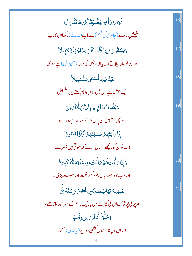| قَوَارِيرَ أَمِن فِضَّةٍقَلَّ ُوهَاتَقَٰٓ لِدَّا                    | .16 |
|---------------------------------------------------------------------|-----|
| شیشے پر روپے(چاندی کی قسم) کے ماپ(پ <u>یا</u> نے)ر کھاان کاماپ،     |     |
| وَيُسْقَوْنَ فِيهَا كَأَسًا كَانَ مِزَاجُهَا زَنْجَبِيلاً           | .17 |
| اور ان کو وہاں پلاتے ہیں بیالہ، جس کی ملونی ( آمیز ش ) ہے سونٹھ۔    |     |
| عَيۡنَٓٲڣؚۑ <sub>ؘ</sub> ؠٓٲؾ۠ۘۺڡ <sub>ۜٙ</sub> ؠڛڷۺڹؚۑڵٲ           | .18 |
| ایک چشمہ ہے اس میں،اس کانام کہتے ہیں <sup>سلسبی</sup> ل،            |     |
| وَيَطُوبُ عَلَيْهِمْ وِلْكَانٌ لَّخَلَّلُونَ                        | .19 |
| اور پھر تے <del>ہ</del> یں ان پاس لڑکے سد ار بنے والے،              |     |
| إِذَا بَأَيْتَهُمْ حَسِبْتَهُمْ لِؤُلُؤَامَّنثُوبًا                 |     |
| جب توان کو دیکھے،خیال کرے کہ موتی ہیں بکھرے،                        |     |
| وَإِذَا مَأَيۡتَ ثَمَّ مَأَيۡتَ نَعِيمًا وَمُلۡكًا كَبِيرَ ا        | .20 |
| اور جب تو دیکھے وہاں، تو دیکھے نعمت اور سلطنت بڑی۔                  |     |
| ۼڶؚ <i>ؾۿ</i> ۮٙڷۣؿٵ <sup>ڹ</sup> ؈۠ۺۮ <i>ؙ</i> ڛڂٛڞؙڒۘۏٳؚۺؾٙڹۘۯؿ۠ۜ | .21 |
| اوپر کی یوشاک ان کی کپڑے ہیں باریک ریشم کے سبز اور گاڑھے،           |     |
| وَحُلُّوَأَأَسَاوِيَ مِن فِضَّةٍ                                    |     |
| اور ان کو پہنائے ہیں کنگن روپے (جاندی) کے ،                         |     |
|                                                                     |     |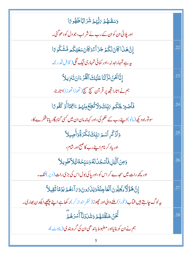| وَسَقَّلْهُمۡ رَبُّهُمۡ شَرَابًاطَهُو رًا                                                        |     |
|--------------------------------------------------------------------------------------------------|-----|
| اور پلائی ان کوان کے رب نے شر اب،جو دل کو د ھوگئی۔                                               |     |
| إِنَّ هَذَا كَانَ لَكُمْ جَزَ آءً وَكَانَ سَعَيْكُمِ مَّشَكُوعَ!                                 | .22 |
| ىيە ہے تمہارابدلہ،اور كمائى تمہارى نيگ لگى( قابل قدر)۔                                           |     |
| إِنَّا نَحْنُ نَزَّلْنَا عَلَيْكَ ٱلْقُرْءَانَ تَنْزِيلاً                                        | .23 |
| ہم نے اتارا تجھ پر قر آن سہج سہج( تھوڑا تھوڑا)اتارنا،                                            |     |
| فَأَصۡبِرۡكِكَٰٓحِ ِ٢َبِّكَ وَلَاتُّطِعۡوِيۡهُمۡ ءَاتِمۡمَٱ أَوۡ كَفُومًا                        | .24 |
| سو توراہ دیکھ (مانو)اپنے رب کے حکم کی،اور کہانہ مان ان میں کسی گنا ہگار یاناشکرے کا،             |     |
| <u>و</u> َٱذۡكُرِ ٱسۡمَ <i>بَ</i> بِّكَ بُكۡدَةٗوَأَصِيلاً                                       | .25 |
| اور یاد کرنام اپنے رب کا صبح اور شام،                                                            |     |
| وَمِنَ ٱلَّيَٰلِ فَأَسۡجُدۡلَهُ وَسَبِّحُهُ لَيۡلاَّطَوِيلاَ                                     | .26 |
| اور <u>پچھ رات میں سجدے</u> کر اس کو،اور پاکی بول اس کی بڑی رات ( دیر) تک۔                       |     |
| إِنَّ هَؤُلَاءِ يُجِبُّونَ ٱلْعَاجِلَةَوَيَذَ رُونَ وَىَ آءَهُمْ يَوْمًا ثَقِيلاً                | .27 |
| ىيەلوگ چاپتے ہيں شآب (فوراً) ملنے والی اور حچوڑ ( نظر انداز کر )ر کھاہے اپنے پیچھپے ایکدن بھاری۔ |     |
| ڹؖ<br>ڂٞ <i>ؙڷ۠ڂ</i> ۠ڽ۠ڂڶڨؘۘ <i>ڐۿۄٝ</i> ۏٙۺؘٚڶۮؘڶٵۜٲۺۯۿؙۄؘۛ                                    | .28 |
| ہم نے ان کو بنایااور مضبوط باندھی ان کی گرہ بندی(بناوٹ)،                                         |     |
|                                                                                                  |     |